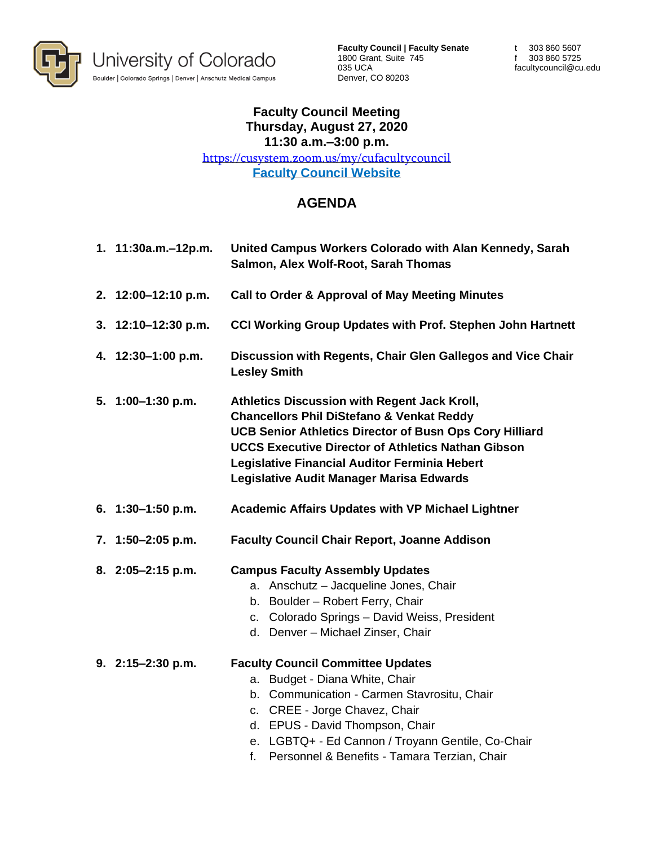

**Faculty Council | Faculty Senate** 1800 Grant, Suite 745 035 UCA Denver, CO 80203

t 303 860 5607 f 303 860 5725 facultycouncil@cu.edu

## **Faculty Council Meeting Thursday, August 27, 2020 11:30 a.m.–3:00 p.m.**

<https://cusystem.zoom.us/my/cufacultycouncil> **[Faculty Council Website](https://www.cu.edu/faculty-council)**

## **AGENDA**

| 1. 11:30a.m.-12p.m. | United Campus Workers Colorado with Alan Kennedy, Sarah<br>Salmon, Alex Wolf-Root, Sarah Thomas                                                                                                                                                                                                                                  |
|---------------------|----------------------------------------------------------------------------------------------------------------------------------------------------------------------------------------------------------------------------------------------------------------------------------------------------------------------------------|
| 2. 12:00-12:10 p.m. | <b>Call to Order &amp; Approval of May Meeting Minutes</b>                                                                                                                                                                                                                                                                       |
| 3. 12:10-12:30 p.m. | <b>CCI Working Group Updates with Prof. Stephen John Hartnett</b>                                                                                                                                                                                                                                                                |
| 4. 12:30-1:00 p.m.  | Discussion with Regents, Chair Glen Gallegos and Vice Chair<br><b>Lesley Smith</b>                                                                                                                                                                                                                                               |
| 5. 1:00-1:30 p.m.   | Athletics Discussion with Regent Jack Kroll,<br><b>Chancellors Phil DiStefano &amp; Venkat Reddy</b><br><b>UCB Senior Athletics Director of Busn Ops Cory Hilliard</b><br><b>UCCS Executive Director of Athletics Nathan Gibson</b><br>Legislative Financial Auditor Ferminia Hebert<br>Legislative Audit Manager Marisa Edwards |
| 6. $1:30-1:50$ p.m. | <b>Academic Affairs Updates with VP Michael Lightner</b>                                                                                                                                                                                                                                                                         |
| 7. 1:50-2:05 p.m.   | <b>Faculty Council Chair Report, Joanne Addison</b>                                                                                                                                                                                                                                                                              |
| 8. 2:05-2:15 p.m.   | <b>Campus Faculty Assembly Updates</b><br>a. Anschutz - Jacqueline Jones, Chair<br>b. Boulder - Robert Ferry, Chair<br>c. Colorado Springs - David Weiss, President<br>d. Denver - Michael Zinser, Chair                                                                                                                         |
| 9. 2:15-2:30 p.m.   | <b>Faculty Council Committee Updates</b><br>a. Budget - Diana White, Chair<br>b. Communication - Carmen Stavrositu, Chair<br>c. CREE - Jorge Chavez, Chair<br>d. EPUS - David Thompson, Chair<br>e. LGBTQ+ - Ed Cannon / Troyann Gentile, Co-Chair<br>Personnel & Benefits - Tamara Terzian, Chair<br>f.                         |